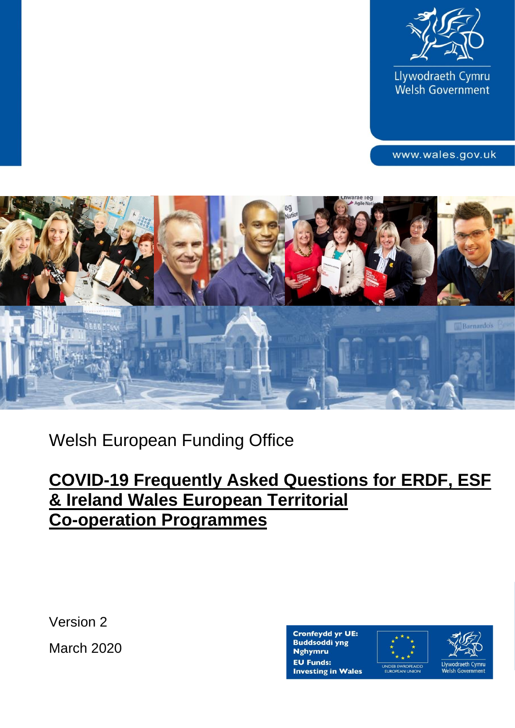

Llywodraeth Cymru Welsh Government

www.wales.gov.uk



# Welsh European Funding Office

## **COVID-19 Frequently Asked Questions for ERDF, ESF & Ireland Wales European Territorial Co-operation Programmes**

Version 2

March 2020



Llywodraeth Cymru Welsh Government

1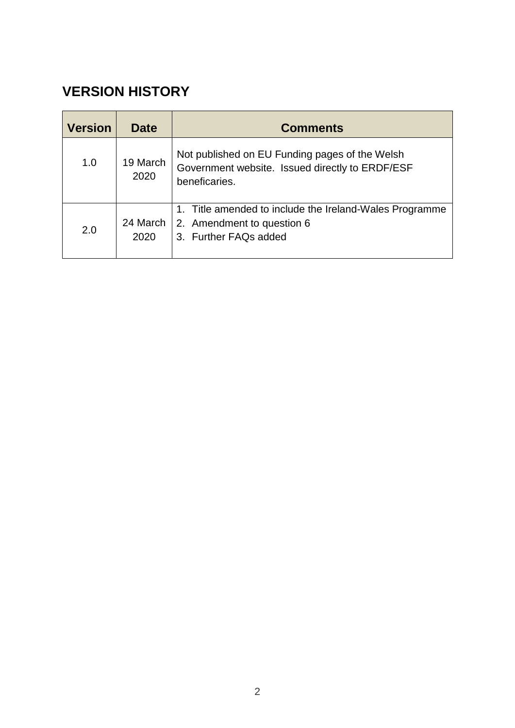### **VERSION HISTORY**

| <b>Version</b> | <b>Date</b>      | <b>Comments</b>                                                                                                    |
|----------------|------------------|--------------------------------------------------------------------------------------------------------------------|
| 1.0            | 19 March<br>2020 | Not published on EU Funding pages of the Welsh<br>Government website. Issued directly to ERDF/ESF<br>beneficaries. |
| 2.0            | 24 March<br>2020 | 1. Title amended to include the Ireland-Wales Programme<br>2. Amendment to question 6<br>3. Further FAQs added     |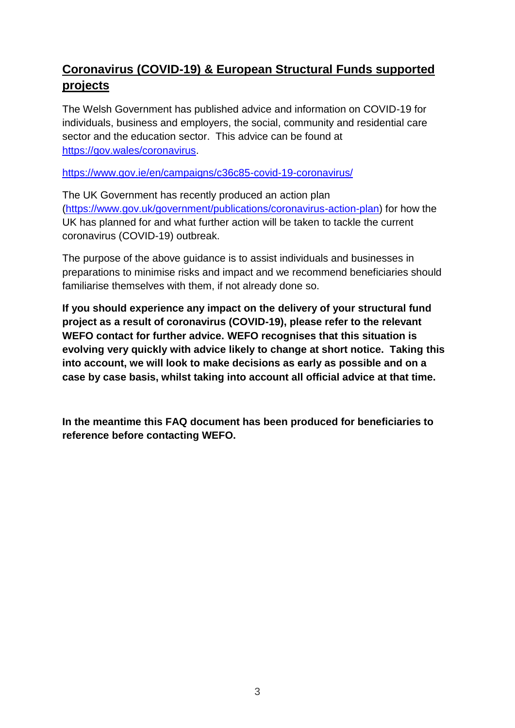### **Coronavirus (COVID-19) & European Structural Funds supported projects**

The Welsh Government has published advice and information on COVID-19 for individuals, business and employers, the social, community and residential care sector and the education sector. This advice can be found at [https://gov.wales/coronavirus.](https://gov.wales/coronavirus)

<https://www.gov.ie/en/campaigns/c36c85-covid-19-coronavirus/>

The UK Government has recently produced an action plan [\(https://www.gov.uk/government/publications/coronavirus-action-plan\)](https://www.gov.uk/government/publications/coronavirus-action-plan) for how the UK has planned for and what further action will be taken to tackle the current coronavirus (COVID-19) outbreak.

The purpose of the above guidance is to assist individuals and businesses in preparations to minimise risks and impact and we recommend beneficiaries should familiarise themselves with them, if not already done so.

**If you should experience any impact on the delivery of your structural fund project as a result of coronavirus (COVID-19), please refer to the relevant WEFO contact for further advice. WEFO recognises that this situation is evolving very quickly with advice likely to change at short notice. Taking this into account, we will look to make decisions as early as possible and on a case by case basis, whilst taking into account all official advice at that time.** 

**In the meantime this FAQ document has been produced for beneficiaries to reference before contacting WEFO.**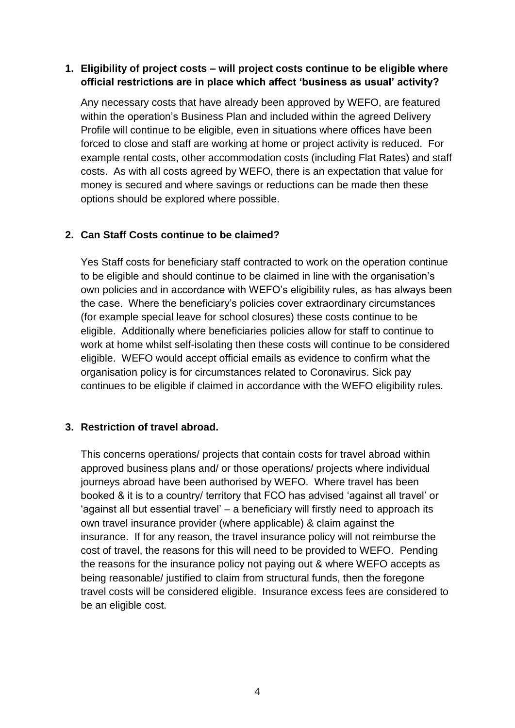#### **1. Eligibility of project costs – will project costs continue to be eligible where official restrictions are in place which affect 'business as usual' activity?**

Any necessary costs that have already been approved by WEFO, are featured within the operation's Business Plan and included within the agreed Delivery Profile will continue to be eligible, even in situations where offices have been forced to close and staff are working at home or project activity is reduced. For example rental costs, other accommodation costs (including Flat Rates) and staff costs. As with all costs agreed by WEFO, there is an expectation that value for money is secured and where savings or reductions can be made then these options should be explored where possible.

#### **2. Can Staff Costs continue to be claimed?**

Yes Staff costs for beneficiary staff contracted to work on the operation continue to be eligible and should continue to be claimed in line with the organisation's own policies and in accordance with WEFO's eligibility rules, as has always been the case. Where the beneficiary's policies cover extraordinary circumstances (for example special leave for school closures) these costs continue to be eligible. Additionally where beneficiaries policies allow for staff to continue to work at home whilst self-isolating then these costs will continue to be considered eligible. WEFO would accept official emails as evidence to confirm what the organisation policy is for circumstances related to Coronavirus. Sick pay continues to be eligible if claimed in accordance with the WEFO eligibility rules.

#### **3. Restriction of travel abroad.**

This concerns operations/ projects that contain costs for travel abroad within approved business plans and/ or those operations/ projects where individual journeys abroad have been authorised by WEFO. Where travel has been booked & it is to a country/ territory that FCO has advised 'against all travel' or 'against all but essential travel' – a beneficiary will firstly need to approach its own travel insurance provider (where applicable) & claim against the insurance. If for any reason, the travel insurance policy will not reimburse the cost of travel, the reasons for this will need to be provided to WEFO. Pending the reasons for the insurance policy not paying out & where WEFO accepts as being reasonable/ justified to claim from structural funds, then the foregone travel costs will be considered eligible. Insurance excess fees are considered to be an eligible cost.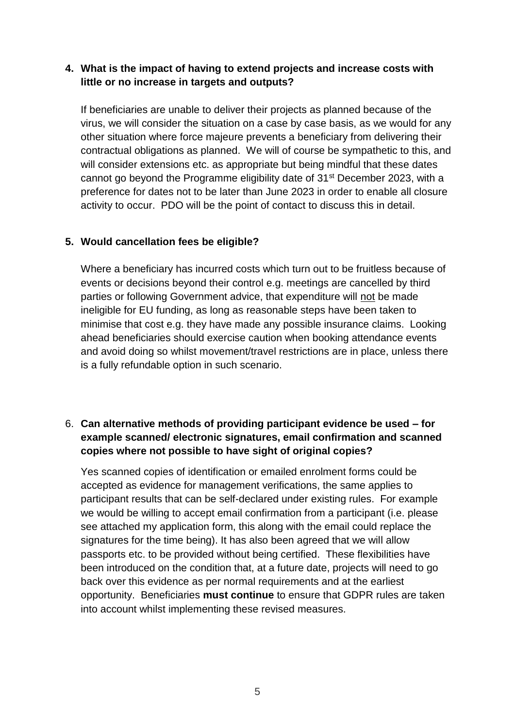#### **4. What is the impact of having to extend projects and increase costs with little or no increase in targets and outputs?**

If beneficiaries are unable to deliver their projects as planned because of the virus, we will consider the situation on a case by case basis, as we would for any other situation where force majeure prevents a beneficiary from delivering their contractual obligations as planned. We will of course be sympathetic to this, and will consider extensions etc. as appropriate but being mindful that these dates cannot go beyond the Programme eligibility date of 31<sup>st</sup> December 2023, with a preference for dates not to be later than June 2023 in order to enable all closure activity to occur. PDO will be the point of contact to discuss this in detail.

#### **5. Would cancellation fees be eligible?**

Where a beneficiary has incurred costs which turn out to be fruitless because of events or decisions beyond their control e.g. meetings are cancelled by third parties or following Government advice, that expenditure will not be made ineligible for EU funding, as long as reasonable steps have been taken to minimise that cost e.g. they have made any possible insurance claims. Looking ahead beneficiaries should exercise caution when booking attendance events and avoid doing so whilst movement/travel restrictions are in place, unless there is a fully refundable option in such scenario.

#### 6. **Can alternative methods of providing participant evidence be used – for example scanned/ electronic signatures, email confirmation and scanned copies where not possible to have sight of original copies?**

Yes scanned copies of identification or emailed enrolment forms could be accepted as evidence for management verifications, the same applies to participant results that can be self-declared under existing rules. For example we would be willing to accept email confirmation from a participant (i.e. please see attached my application form, this along with the email could replace the signatures for the time being). It has also been agreed that we will allow passports etc. to be provided without being certified. These flexibilities have been introduced on the condition that, at a future date, projects will need to go back over this evidence as per normal requirements and at the earliest opportunity. Beneficiaries **must continue** to ensure that GDPR rules are taken into account whilst implementing these revised measures.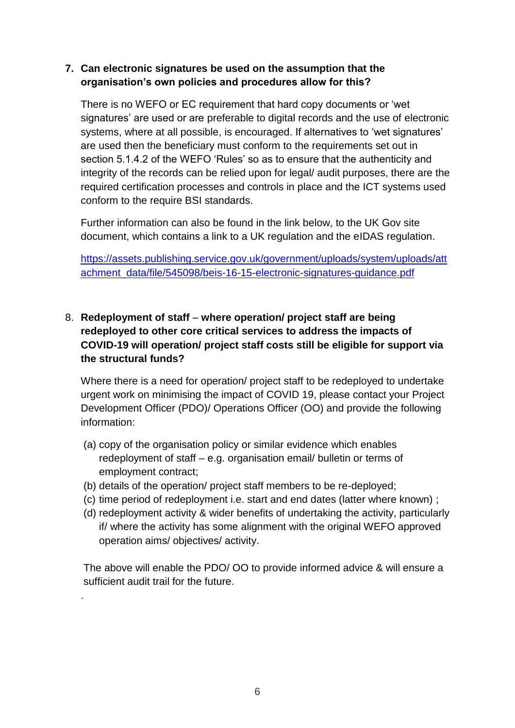#### **7. Can electronic signatures be used on the assumption that the organisation's own policies and procedures allow for this?**

There is no WEFO or EC requirement that hard copy documents or 'wet signatures' are used or are preferable to digital records and the use of electronic systems, where at all possible, is encouraged. If alternatives to 'wet signatures' are used then the beneficiary must conform to the requirements set out in section 5.1.4.2 of the WEFO 'Rules' so as to ensure that the authenticity and integrity of the records can be relied upon for legal/ audit purposes, there are the required certification processes and controls in place and the ICT systems used conform to the require BSI standards.

Further information can also be found in the link below, to the UK Gov site document, which contains a link to a UK regulation and the eIDAS regulation.

[https://assets.publishing.service.gov.uk/government/uploads/system/uploads/att](https://assets.publishing.service.gov.uk/government/uploads/system/uploads/attachment_data/file/545098/beis-16-15-electronic-signatures-guidance.pdf) [achment\\_data/file/545098/beis-16-15-electronic-signatures-guidance.pdf](https://assets.publishing.service.gov.uk/government/uploads/system/uploads/attachment_data/file/545098/beis-16-15-electronic-signatures-guidance.pdf)

#### 8. **Redeployment of staff** – **where operation/ project staff are being redeployed to other core critical services to address the impacts of COVID-19 will operation/ project staff costs still be eligible for support via the structural funds?**

Where there is a need for operation/ project staff to be redeployed to undertake urgent work on minimising the impact of COVID 19, please contact your Project Development Officer (PDO)/ Operations Officer (OO) and provide the following information:

- (a) copy of the organisation policy or similar evidence which enables redeployment of staff – e.g. organisation email/ bulletin or terms of employment contract;
- (b) details of the operation/ project staff members to be re-deployed;

.

- (c) time period of redeployment i.e. start and end dates (latter where known) ;
- (d) redeployment activity & wider benefits of undertaking the activity, particularly if/ where the activity has some alignment with the original WEFO approved operation aims/ objectives/ activity.

The above will enable the PDO/ OO to provide informed advice & will ensure a sufficient audit trail for the future.